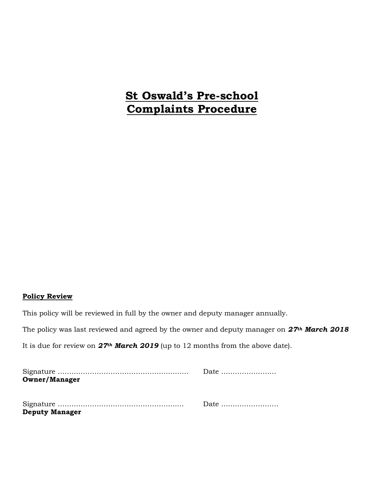# **St Oswald's Pre-school Complaints Procedure**

### **Policy Review**

This policy will be reviewed in full by the owner and deputy manager annually.

The policy was last reviewed and agreed by the owner and deputy manager on *27th March 2018*

It is due for review on *27th March 2019* (up to 12 months from the above date).

|                       | Date |
|-----------------------|------|
| <b>Owner/Manager</b>  |      |
|                       |      |
|                       |      |
|                       |      |
| <b>Deputy Manager</b> |      |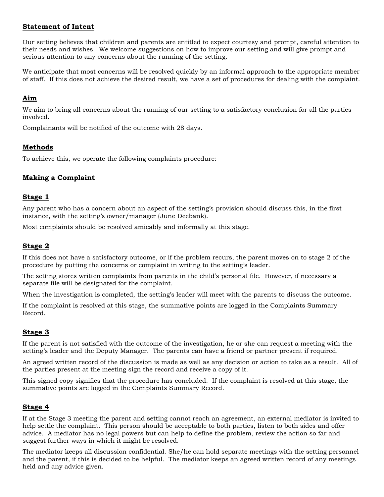## **Statement of Intent**

Our setting believes that children and parents are entitled to expect courtesy and prompt, careful attention to their needs and wishes. We welcome suggestions on how to improve our setting and will give prompt and serious attention to any concerns about the running of the setting.

We anticipate that most concerns will be resolved quickly by an informal approach to the appropriate member of staff. If this does not achieve the desired result, we have a set of procedures for dealing with the complaint.

## **Aim**

We aim to bring all concerns about the running of our setting to a satisfactory conclusion for all the parties involved.

Complainants will be notified of the outcome with 28 days.

# **Methods**

To achieve this, we operate the following complaints procedure:

# **Making a Complaint**

#### **Stage 1**

Any parent who has a concern about an aspect of the setting's provision should discuss this, in the first instance, with the setting's owner/manager (June Deebank).

Most complaints should be resolved amicably and informally at this stage.

### **Stage 2**

If this does not have a satisfactory outcome, or if the problem recurs, the parent moves on to stage 2 of the procedure by putting the concerns or complaint in writing to the setting's leader.

The setting stores written complaints from parents in the child's personal file. However, if necessary a separate file will be designated for the complaint.

When the investigation is completed, the setting's leader will meet with the parents to discuss the outcome.

If the complaint is resolved at this stage, the summative points are logged in the Complaints Summary Record.

### **Stage 3**

If the parent is not satisfied with the outcome of the investigation, he or she can request a meeting with the setting's leader and the Deputy Manager. The parents can have a friend or partner present if required.

An agreed written record of the discussion is made as well as any decision or action to take as a result. All of the parties present at the meeting sign the record and receive a copy of it.

This signed copy signifies that the procedure has concluded. If the complaint is resolved at this stage, the summative points are logged in the Complaints Summary Record.

### **Stage 4**

If at the Stage 3 meeting the parent and setting cannot reach an agreement, an external mediator is invited to help settle the complaint. This person should be acceptable to both parties, listen to both sides and offer advice. A mediator has no legal powers but can help to define the problem, review the action so far and suggest further ways in which it might be resolved.

The mediator keeps all discussion confidential. She/he can hold separate meetings with the setting personnel and the parent, if this is decided to be helpful. The mediator keeps an agreed written record of any meetings held and any advice given.